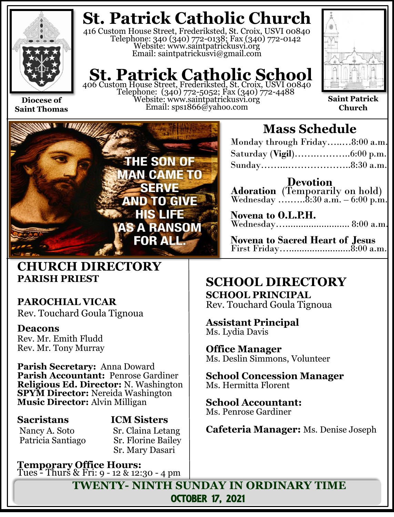

**Saint Thomas**

**St. Patrick Catholic Church**

416 Custom House Street, Frederiksted, St. Croix, USVI 00840 Telephone: 340 (340) 772-0138; Fax (340) 772-0142 Website: www.saintpatrickusvi.org Email: saintpatrickusvi@gmail.com

## **St. Patrick Catholic School** 406 Custom House Street, Frederiksted, St. Croix, USVI 00840

Telephone: (340) 772-5052; Fax (340) 772-4488 Website: www.saintpatrickusvi.org Email: sps1866@yahoo.com



**Saint Patrick Church**



## **CHURCH DIRECTORY PARISH PRIEST**

## **PAROCHIAL VICAR**

Rev. Touchard Goula Tignoua

### **Deacons**

Rev. Mr. Emith Fludd Rev. Mr. Tony Murray

**Parish Secretary:** Anna Doward **Parish Accountant:** Penrose Gardiner **Religious Ed. Director:** N. Washington **SPYM Director:** Nereida Washington **Music Director:** Alvin Milligan

Nancy A. Soto Sr. Claina Letang

## **Sacristans ICM Sisters**

Patricia Santiago Sr. Florine Bailey Sr. Mary Dasari

**Temporary Office Hours:**  Tues - Thurs & Fri: 9 - 12 & 12:30 - 4 pm

## **Mass Schedule**

| Monday through Friday8:00 a.m. |  |
|--------------------------------|--|
|                                |  |
|                                |  |

**Devotion Adoration** (Temporarily on hold) Wednesday  $\ldots \ldots \ldots 8:30$  a.m. – 6:00 p.m.

| Novena to O.L.P.H.  |  |
|---------------------|--|
| Wednesday 8:00 a.m. |  |

**Novena to Sacred Heart of Jesus** First Friday…........................8:00 a.m.

### **SCHOOL DIRECTORY SCHOOL PRINCIPAL**

Rev. Touchard Goula Tignoua

**Assistant Principal** Ms. Lydia Davis

**Office Manager** Ms. Deslin Simmons, Volunteer

**School Concession Manager** Ms. Hermitta Florent

**School Accountant:**  Ms. Penrose Gardiner

**Cafeteria Manager:** Ms. Denise Joseph

**TWENTY- NINTH SUNDAY IN ORDINARY TIME** OCTOBER 17, 2021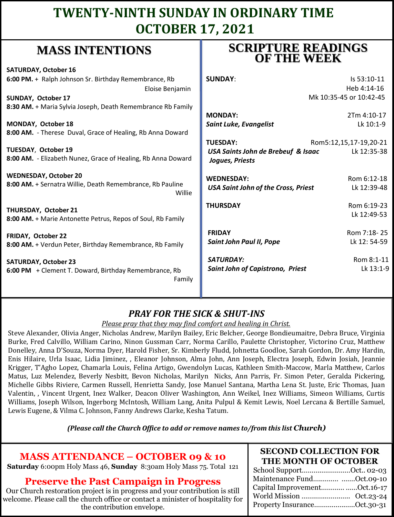## **TWENTY-NINTH SUNDAY IN ORDINARY TIME OCTOBER 17, 2021**

## **MASS INTENTIONS**

| whapp have been to the                                                              | <b>OF THE WEEK</b>                                        |
|-------------------------------------------------------------------------------------|-----------------------------------------------------------|
| <b>SATURDAY, October 16</b>                                                         |                                                           |
| 6:00 PM. + Ralph Johnson Sr. Birthday Remembrance, Rb                               | <b>SUNDAY:</b><br>Is 53:10-11                             |
| Eloise Benjamin                                                                     | Heb 4:14-16                                               |
| <b>SUNDAY, October 17</b>                                                           | Mk 10:35-45 or 10:42-45                                   |
| 8:30 AM. + Maria Sylvia Joseph, Death Remembrance Rb Family                         |                                                           |
|                                                                                     | <b>MONDAY:</b><br>2Tm 4:10-17                             |
| MONDAY, October 18                                                                  | Lk 10:1-9<br>Saint Luke, Evangelist                       |
| 8:00 AM. - Therese Duval, Grace of Healing, Rb Anna Doward                          |                                                           |
|                                                                                     | <b>TUESDAY:</b><br>Rom5:12,15,17-19,20-21                 |
| TUESDAY, October 19                                                                 | USA Saints John de Brebeuf & Isaac<br>Lk 12:35-38         |
| 8:00 AM. - Elizabeth Nunez, Grace of Healing, Rb Anna Doward                        | Joques, Priests                                           |
| <b>WEDNESDAY, October 20</b>                                                        | <b>WEDNESDAY:</b><br>Rom 6:12-18                          |
| 8:00 AM. + Sernatra Willie, Death Remembrance, Rb Pauline                           | <b>USA Saint John of the Cross, Priest</b><br>Lk 12:39-48 |
| Willie                                                                              |                                                           |
|                                                                                     | <b>THURSDAY</b><br>Rom 6:19-23                            |
| THURSDAY, October 21<br>8:00 AM. + Marie Antonette Petrus, Repos of Soul, Rb Family | Lk 12:49-53                                               |
|                                                                                     |                                                           |
| <b>FRIDAY, October 22</b>                                                           | <b>FRIDAY</b><br>Rom 7:18-25                              |
| 8:00 AM. + Verdun Peter, Birthday Remembrance, Rb Family                            | Lk 12: 54-59<br><b>Saint John Paul II, Pope</b>           |
|                                                                                     |                                                           |
| <b>SATURDAY, October 23</b>                                                         | Rom 8:1-11<br><b>SATURDAY:</b>                            |
| 6:00 PM + Clement T. Doward, Birthday Remembrance, Rb                               | Lk 13:1-9<br>Saint John of Capistrono, Priest             |
| Family                                                                              |                                                           |
|                                                                                     |                                                           |
|                                                                                     |                                                           |

### *PRAY FOR THE SICK & SHUT-INS*

*Please pray that they may find comfort and healing in Christ.*

Steve Alexander, Olivia Anger, Nicholas Andrew, Marilyn Bailey, Eric Belcher, George Bondieumaitre, Debra Bruce, Virginia Burke, Fred Calvillo, William Carino, Ninon Gussman Carr, Norma Carillo, Paulette Christopher, Victorino Cruz, Matthew Donelley, Anna D'Souza, Norma Dyer, Harold Fisher, Sr. Kimberly Fludd, Johnetta Goodloe, Sarah Gordon, Dr. Amy Hardin, Enis Hilaire, Urla Isaac, Lidia Jiminez, , Eleanor Johnson, Alma John, Ann Joseph, Electra Joseph, Edwin Josiah, Jeannie Krigger, T'Agho Lopez, Chamarla Louis, Felina Artigo, Gwendolyn Lucas, Kathleen Smith-Maccow, Marla Matthew, Carlos Matus, Luz Melendez, Beverly Nesbitt, Bevon Nicholas, Marilyn Nicks, Ann Parris, Fr. Simon Peter, Geralda Pickering, Michelle Gibbs Riviere, Carmen Russell, Henrietta Sandy, Jose Manuel Santana, Martha Lena St. Juste, Eric Thomas, Juan Valentin, , Vincent Urgent, Inez Walker, Deacon Oliver Washington, Ann Weikel, Inez Williams, Simeon Williams, Curtis Williams, Joseph Wilson, Ingerborg McIntosh, William Lang, Anita Pulpul & Kemit Lewis, Noel Lercana & Bertille Samuel, Lewis Eugene, & Vilma C. Johnson, Fanny Andrews Clarke, Kesha Tatum.

*(Please call the Church Office to add or remove names to/from this list Church)*

### **MASS ATTENDANCE – OCTOBER 09 & 10**

**Saturday** 6:00pm Holy Mass 46, **Sunday** 8:30am Holy Mass 75. Total 121

#### **Preserve the Past Campaign in Progress**

Our Church restoration project is in progress and your contribution is still welcome. Please call the church office or contact a minister of hospitality for the contribution envelope.

#### **SECOND COLLECTION FOR THE MONTH OF OCTOBER**

**SCRIPTURE READINGS** 

| School SupportOct 02-03      |  |
|------------------------------|--|
| Maintenance Fund Oct.09-10   |  |
| Capital ImprovementOct.16-17 |  |
|                              |  |
| Property InsuranceOct.30-31  |  |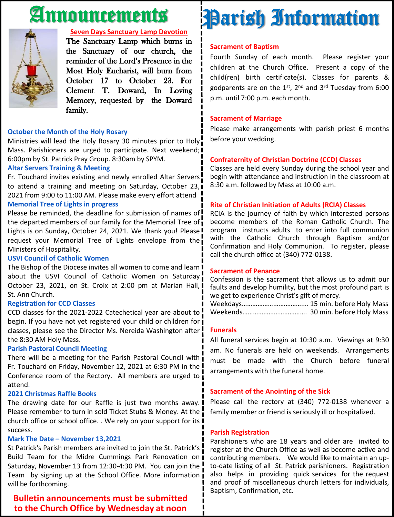## Announcements



#### **Seven Days Sanctuary Lamp Devotion**

The Sanctuary Lamp which burns in the Sanctuary of our church, the reminder of the Lord's Presence in the Most Holy Eucharist, will burn from October 17 to October 23. For Clement T. Doward, In Loving Memory, requested by the Doward family.

#### **October the Month of the Holy Rosary**

Ministries will lead the Holy Rosary 30 minutes prior to Holy Mass. Parishioners are urged to participate. Next weekend; 6:00pm by St. Patrick Pray Group. 8:30am by SPYM.

#### **Altar Servers Training & Meeting**

Fr. Touchard invites existing and newly enrolled Altar Servers to attend a training and meeting on Saturday, October 23, 2021 from 9:00 to 11:00 AM. Please make every effort attend

#### **Memorial Tree of Lights in progress**

Please be reminded, the deadline for submission of names of the departed members of our family for the Memorial Tree of Lights is on Sunday, October 24, 2021. We thank you! Please! request your Memorial Tree of Lights envelope from the Ministers of Hospitality.

#### **USVI Council of Catholic Women**

The Bishop of the Diocese invites all women to come and learn I about the USVI Council of Catholic Women on Saturday October 23, 2021, on St. Croix at 2:00 pm at Marian Hall, I St. Ann Church.

#### **Registration for CCD Classes**

CCD classes for the 2021-2022 Catechetical year are about to ! begin. If you have not yet registered your child or children for  $\overline{\mathbf{i}}$ classes, please see the Director Ms. Nereida Washington after the 8:30 AM Holy Mass.

#### **Parish Pastoral Council Meeting**

There will be a meeting for the Parish Pastoral Council with Fr. Touchard on Friday, November 12, 2021 at 6:30 PM in the Conference room of the Rectory. All members are urged to attend.

#### **2021 Christmas Raffle Books**

The drawing date for our Raffle is just two months away. Please remember to turn in sold Ticket Stubs & Money. At the church office or school office. . We rely on your support for its I success.

#### **Mark The Date – November 13,2021**

St Patrick's Parish members are invited to join the St. Patrick's Build Team for the Midre Cummings Park Renovation on Saturday, November 13 from 12:30-4:30 PM. You can join the Team by signing up at the School Office. More information will be forthcoming.

#### **Bulletin announcements must be submitted to the Church Office by Wednesday at noon**

## Parish Information

#### **Sacrament of Baptism**

Fourth Sunday of each month. Please register your children at the Church Office. Present a copy of the child(ren) birth certificate(s). Classes for parents & godparents are on the 1st, 2<sup>nd</sup> and 3<sup>rd</sup> Tuesday from 6:00 p.m. until 7:00 p.m. each month.

#### **Sacrament of Marriage**

Please make arrangements with parish priest 6 months before your wedding.

#### **Confraternity of Christian Doctrine (CCD) Classes**

Classes are held every Sunday during the school year and begin with attendance and instruction in the classroom at 8:30 a.m. followed by Mass at 10:00 a.m.

#### **Rite of Christian Initiation of Adults (RCIA) Classes**

RCIA is the journey of faith by which interested persons become members of the Roman Catholic Church. The program instructs adults to enter into full communion with the Catholic Church through Baptism and/or Confirmation and Holy Communion. To register, please call the church office at (340) 772-0138.

#### **Sacrament of Penance**

Confession is the sacrament that allows us to admit our faults and develop humility, but the most profound part is we get to experience Christ's gift of mercy.

Weekdays……………….…………….... 15 min. before Holy Mass Weekends………………………………. 30 min. before Holy Mass

#### **Funerals**

All funeral services begin at 10:30 a.m. Viewings at 9:30 am. No funerals are held on weekends. Arrangements must be made with the Church before funeral arrangements with the funeral home.

#### **Sacrament of the Anointing of the Sick**

Please call the rectory at (340) 772-0138 whenever a family member or friend is seriously ill or hospitalized.

#### **Parish Registration**

Parishioners who are 18 years and older are invited to register at the Church Office as well as become active and contributing members. We would like to maintain an upto-date listing of all St. Patrick parishioners. Registration also helps in providing quick services for the request and proof of miscellaneous church letters for individuals, Baptism, Confirmation, etc.